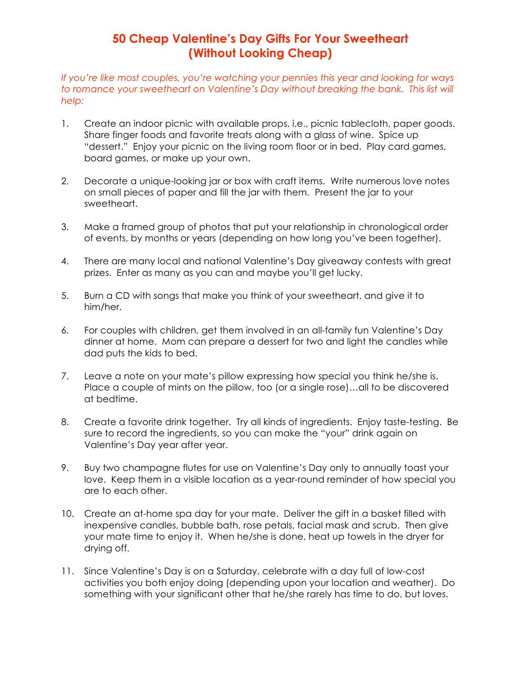## **50 Cheap Valentine's Day Gifts For Your Sweetheart (Without Looking Cheap)**

*If you're like most couples, you're watching your pennies this year and looking for ways*  to romance your sweetheart on Valentine's Day without breaking the bank. This list will *help:*

- 1. Create an indoor picnic with available props, i.e., picnic tablecloth, paper goods. Share finger foods and favorite treats along with a glass of wine. Spice up "dessert." Enjoy your picnic on the living room floor or in bed. Play card games, board games, or make up your own.
- 2. Decorate a unique-looking jar or box with craft items. Write numerous love notes on small pieces of paper and fill the jar with them. Present the jar to your sweetheart.
- 3. Make a framed group of photos that put your relationship in chronological order of events, by months or years (depending on how long you've been together).
- 4. There are many local and national Valentine's Day giveaway contests with great prizes. Enter as many as you can and maybe you'll get lucky.
- 5. Burn a CD with songs that make you think of your sweetheart, and give it to him/her.
- 6. For couples with children, get them involved in an all-family fun Valentine's Day dinner at home. Mom can prepare a dessert for two and light the candles while dad puts the kids to bed.
- 7. Leave a note on your mate's pillow expressing how special you think he/she is. Place a couple of mints on the pillow, too (or a single rose)…all to be discovered at bedtime.
- 8. Create a favorite drink together. Try all kinds of ingredients. Enjoy taste-testing. Be sure to record the ingredients, so you can make the "your" drink again on Valentine's Day year after year.
- 9. Buy two champagne flutes for use on Valentine's Day only to annually toast your love. Keep them in a visible location as a year-round reminder of how special you are to each other.
- 10. Create an at-home spa day for your mate. Deliver the gift in a basket filled with inexpensive candles, bubble bath, rose petals, facial mask and scrub. Then give your mate time to enjoy it. When he/she is done, heat up towels in the dryer for drying off.
- 11. Since Valentine's Day is on a Saturday, celebrate with a day full of low-cost activities you both enjoy doing (depending upon your location and weather). Do something with your significant other that he/she rarely has time to do, but loves.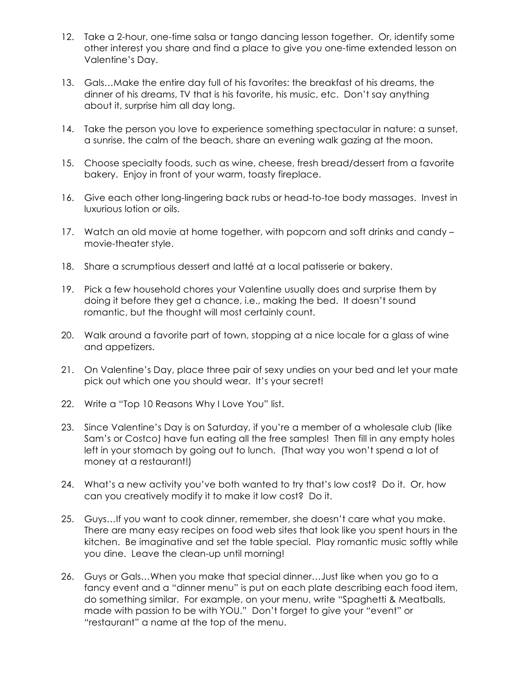- 12. Take a 2-hour, one-time salsa or tango dancing lesson together. Or, identify some other interest you share and find a place to give you one-time extended lesson on Valentine's Day.
- 13. Gals…Make the entire day full of his favorites: the breakfast of his dreams, the dinner of his dreams, TV that is his favorite, his music, etc. Don't say anything about it, surprise him all day long.
- 14. Take the person you love to experience something spectacular in nature: a sunset, a sunrise, the calm of the beach, share an evening walk gazing at the moon.
- 15. Choose specialty foods, such as wine, cheese, fresh bread/dessert from a favorite bakery. Enjoy in front of your warm, toasty fireplace.
- 16. Give each other long-lingering back rubs or head-to-toe body massages. Invest in luxurious lotion or oils.
- 17. Watch an old movie at home together, with popcorn and soft drinks and candy movie-theater style.
- 18. Share a scrumptious dessert and latté at a local patisserie or bakery.
- 19. Pick a few household chores your Valentine usually does and surprise them by doing it before they get a chance, i.e., making the bed. It doesn't sound romantic, but the thought will most certainly count.
- 20. Walk around a favorite part of town, stopping at a nice locale for a glass of wine and appetizers.
- 21. On Valentine's Day, place three pair of sexy undies on your bed and let your mate pick out which one you should wear. It's your secret!
- 22. Write a "Top 10 Reasons Why I Love You" list.
- 23. Since Valentine's Day is on Saturday, if you're a member of a wholesale club (like Sam's or Costco) have fun eating all the free samples! Then fill in any empty holes left in your stomach by going out to lunch. (That way you won't spend a lot of money at a restaurant!)
- 24. What's a new activity you've both wanted to try that's low cost? Do it. Or, how can you creatively modify it to make it low cost? Do it.
- 25. Guys…If you want to cook dinner, remember, she doesn't care what you make. There are many easy recipes on food web sites that look like you spent hours in the kitchen. Be imaginative and set the table special. Play romantic music softly while you dine. Leave the clean-up until morning!
- 26. Guys or Gals…When you make that special dinner…Just like when you go to a fancy event and a "dinner menu" is put on each plate describing each food item, do something similar. For example, on your menu, write "Spaghetti & Meatballs, made with passion to be with YOU." Don't forget to give your "event" or "restaurant" a name at the top of the menu.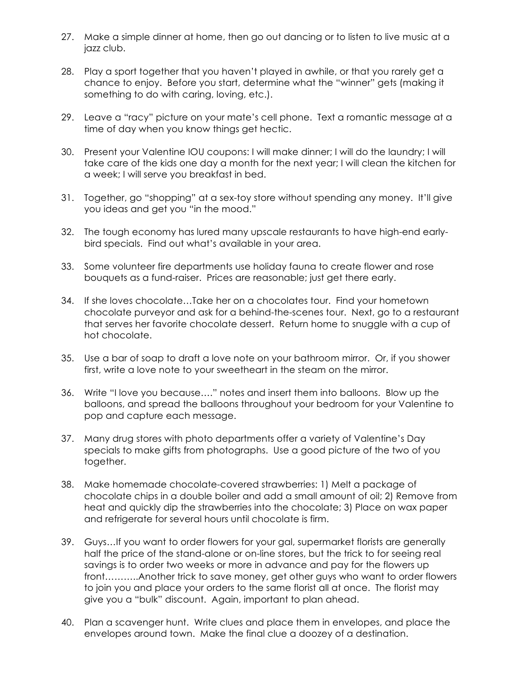- 27. Make a simple dinner at home, then go out dancing or to listen to live music at a jazz club.
- 28. Play a sport together that you haven't played in awhile, or that you rarely get a chance to enjoy. Before you start, determine what the "winner" gets (making it something to do with caring, loving, etc.).
- 29. Leave a "racy" picture on your mate's cell phone. Text a romantic message at a time of day when you know things get hectic.
- 30. Present your Valentine IOU coupons: I will make dinner; I will do the laundry; I will take care of the kids one day a month for the next year; I will clean the kitchen for a week; I will serve you breakfast in bed.
- 31. Together, go "shopping" at a sex-toy store without spending any money. It'll give you ideas and get you "in the mood."
- 32. The tough economy has lured many upscale restaurants to have high-end earlybird specials. Find out what's available in your area.
- 33. Some volunteer fire departments use holiday fauna to create flower and rose bouquets as a fund-raiser. Prices are reasonable; just get there early.
- 34. If she loves chocolate…Take her on a chocolates tour. Find your hometown chocolate purveyor and ask for a behind-the-scenes tour. Next, go to a restaurant that serves her favorite chocolate dessert. Return home to snuggle with a cup of hot chocolate.
- 35. Use a bar of soap to draft a love note on your bathroom mirror. Or, if you shower first, write a love note to your sweetheart in the steam on the mirror.
- 36. Write "I love you because…." notes and insert them into balloons. Blow up the balloons, and spread the balloons throughout your bedroom for your Valentine to pop and capture each message.
- 37. Many drug stores with photo departments offer a variety of Valentine's Day specials to make gifts from photographs. Use a good picture of the two of you together.
- 38. Make homemade chocolate-covered strawberries: 1) Melt a package of chocolate chips in a double boiler and add a small amount of oil; 2) Remove from heat and quickly dip the strawberries into the chocolate; 3) Place on wax paper and refrigerate for several hours until chocolate is firm.
- 39. Guys…If you want to order flowers for your gal, supermarket florists are generally half the price of the stand-alone or on-line stores, but the trick to for seeing real savings is to order two weeks or more in advance and pay for the flowers up front………..Another trick to save money, get other guys who want to order flowers to join you and place your orders to the same florist all at once. The florist may give you a "bulk" discount. Again, important to plan ahead.
- 40. Plan a scavenger hunt. Write clues and place them in envelopes, and place the envelopes around town. Make the final clue a doozey of a destination.